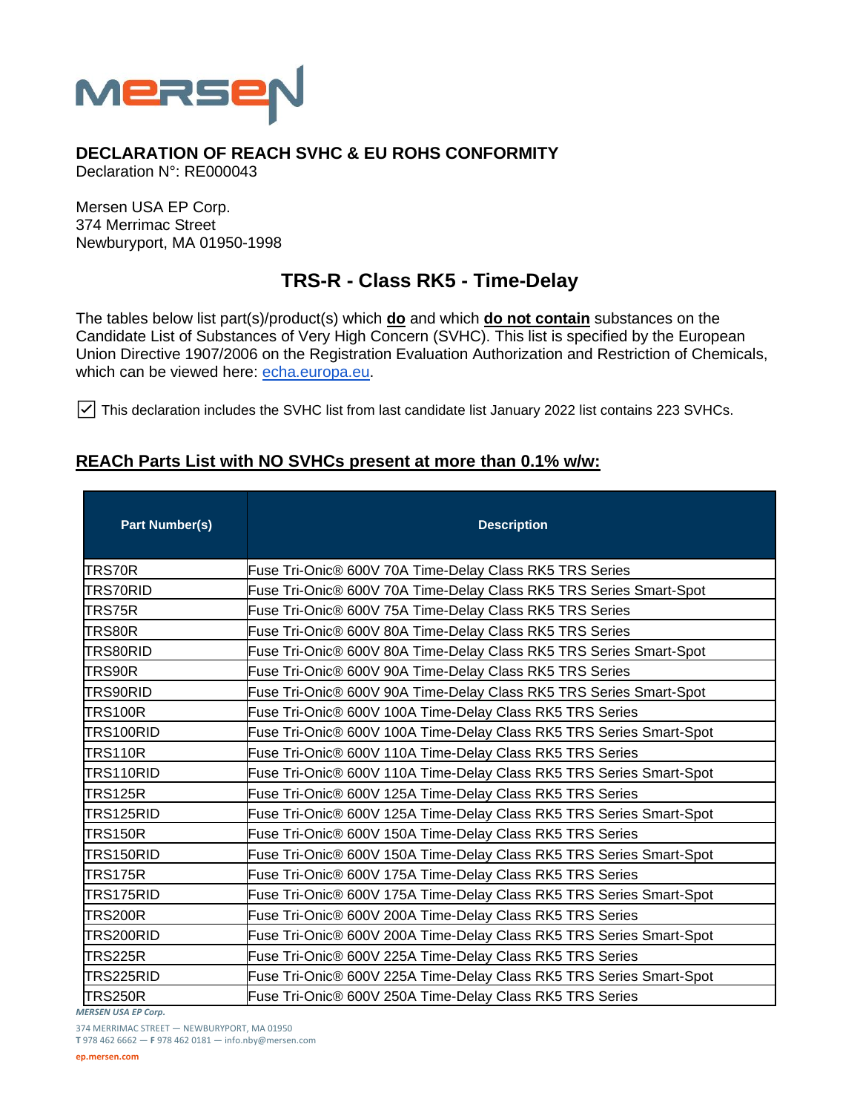

## **DECLARATION OF REACH SVHC & EU ROHS CONFORMITY**

Declaration N°: RE000043

Mersen USA EP Corp. 374 Merrimac Street Newburyport, MA 01950-1998

## **TRS-R - Class RK5 - Time-Delay**

The tables below list part(s)/product(s) which **do** and which **do not contain** substances on the Candidate List of Substances of Very High Concern (SVHC). This list is specified by the European Union Directive 1907/2006 on the Registration Evaluation Authorization and Restriction of Chemicals, which can be viewed here: [echa.europa.eu.](https://echa.europa.eu/candidate-list-table)

☑ This declaration includes the SVHC list from last candidate list January 2022 list contains 223 SVHCs.

## **REACh Parts List with NO SVHCs present at more than 0.1% w/w:**

| <b>Part Number(s)</b> | <b>Description</b>                                                  |  |  |
|-----------------------|---------------------------------------------------------------------|--|--|
| TRS70R                | Fuse Tri-Onic® 600V 70A Time-Delay Class RK5 TRS Series             |  |  |
| TRS70RID              | Fuse Tri-Onic® 600V 70A Time-Delay Class RK5 TRS Series Smart-Spot  |  |  |
| TRS75R                | Fuse Tri-Onic® 600V 75A Time-Delay Class RK5 TRS Series             |  |  |
| TRS80R                | Fuse Tri-Onic® 600V 80A Time-Delay Class RK5 TRS Series             |  |  |
| TRS80RID              | Fuse Tri-Onic® 600V 80A Time-Delay Class RK5 TRS Series Smart-Spot  |  |  |
| TRS90R                | Fuse Tri-Onic® 600V 90A Time-Delay Class RK5 TRS Series             |  |  |
| TRS90RID              | Fuse Tri-Onic® 600V 90A Time-Delay Class RK5 TRS Series Smart-Spot  |  |  |
| TRS100R               | Fuse Tri-Onic® 600V 100A Time-Delay Class RK5 TRS Series            |  |  |
| TRS100RID             | Fuse Tri-Onic® 600V 100A Time-Delay Class RK5 TRS Series Smart-Spot |  |  |
| <b>TRS110R</b>        | Fuse Tri-Onic® 600V 110A Time-Delay Class RK5 TRS Series            |  |  |
| ITRS110RID            | Fuse Tri-Onic® 600V 110A Time-Delay Class RK5 TRS Series Smart-Spot |  |  |
| TRS125R               | Fuse Tri-Onic® 600V 125A Time-Delay Class RK5 TRS Series            |  |  |
| TRS125RID             | Fuse Tri-Onic® 600V 125A Time-Delay Class RK5 TRS Series Smart-Spot |  |  |
| <b>TRS150R</b>        | Fuse Tri-Onic® 600V 150A Time-Delay Class RK5 TRS Series            |  |  |
| TRS150RID             | Fuse Tri-Onic® 600V 150A Time-Delay Class RK5 TRS Series Smart-Spot |  |  |
| <b>TRS175R</b>        | Fuse Tri-Onic® 600V 175A Time-Delay Class RK5 TRS Series            |  |  |
| TRS175RID             | Fuse Tri-Onic® 600V 175A Time-Delay Class RK5 TRS Series Smart-Spot |  |  |
| TRS200R               | Fuse Tri-Onic® 600V 200A Time-Delay Class RK5 TRS Series            |  |  |
| TRS200RID             | Fuse Tri-Onic® 600V 200A Time-Delay Class RK5 TRS Series Smart-Spot |  |  |
| TRS225R               | Fuse Tri-Onic® 600V 225A Time-Delay Class RK5 TRS Series            |  |  |
| TRS225RID             | Fuse Tri-Onic® 600V 225A Time-Delay Class RK5 TRS Series Smart-Spot |  |  |
| TRS250R               | Fuse Tri-Onic® 600V 250A Time-Delay Class RK5 TRS Series            |  |  |

*MERSEN USA EP Corp.*

374 MERRIMAC STREET — NEWBURYPORT, MA 01950

**T** 978 462 6662 — **F** 978 462 0181 — info.nby@mersen.com